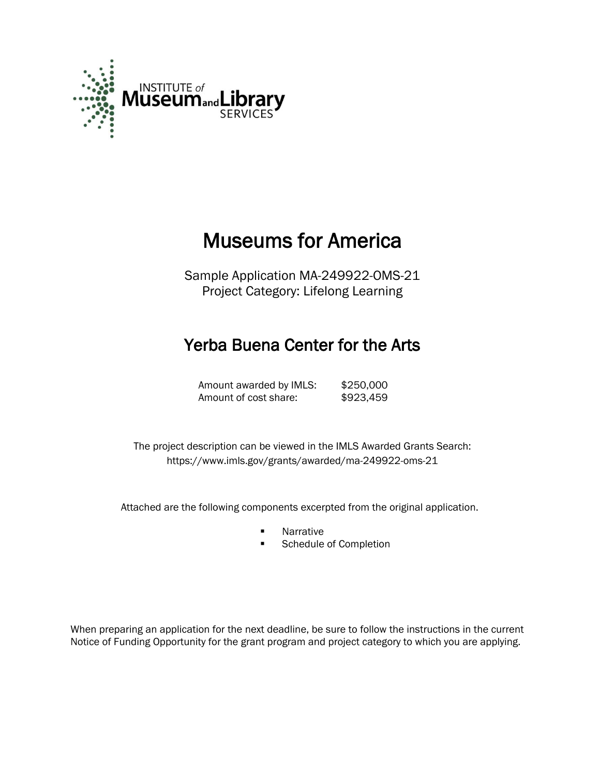

# Museums for America

Sample Application MA-249922-OMS-21 Project Category: Lifelong Learning

# Yerba Buena Center for the Arts

Amount awarded by IMLS: \$250,000 Amount of cost share: \$923,459

 The project description can be viewed in the IMLS Awarded Grants Search: <https://www.imls.gov/grants/awarded/ma-249922-oms-21>

Attached are the following components excerpted from the original application.

- **Narrative**
- Schedule of Completion

When preparing an application for the next deadline, be sure to follow the instructions in the current Notice of Funding Opportunity for the grant program and project category to which you are applying.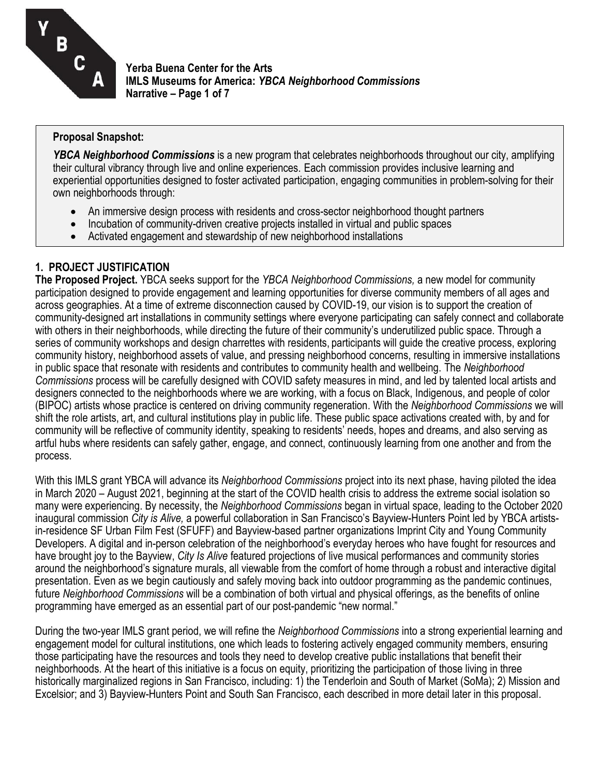

**Yerba Buena Center for the Arts IMLS Museums for America:** *YBCA Neighborhood Commissions* **Narrative – Page 1 of 7**

#### **Proposal Snapshot:**

*YBCA Neighborhood Commissions* is a new program that celebrates neighborhoods throughout our city, amplifying their cultural vibrancy through live and online experiences. Each commission provides inclusive learning and experiential opportunities designed to foster activated participation, engaging communities in problem-solving for their own neighborhoods through:

- An immersive design process with residents and cross-sector neighborhood thought partners
- Incubation of community-driven creative projects installed in virtual and public spaces
- Activated engagement and stewardship of new neighborhood installations

# **1. PROJECT JUSTIFICATION**

**The Proposed Project.** YBCA seeks support for the *YBCA Neighborhood Commissions,* a new model for community participation designed to provide engagement and learning opportunities for diverse community members of all ages and across geographies. At a time of extreme disconnection caused by COVID-19, our vision is to support the creation of community-designed art installations in community settings where everyone participating can safely connect and collaborate with others in their neighborhoods, while directing the future of their community's underutilized public space. Through a series of community workshops and design charrettes with residents, participants will guide the creative process, exploring community history, neighborhood assets of value, and pressing neighborhood concerns, resulting in immersive installations in public space that resonate with residents and contributes to community health and wellbeing. The *Neighborhood Commissions* process will be carefully designed with COVID safety measures in mind, and led by talented local artists and designers connected to the neighborhoods where we are working, with a focus on Black, Indigenous, and people of color (BIPOC) artists whose practice is centered on driving community regeneration. With the *Neighborhood Commissions* we will shift the role artists, art, and cultural institutions play in public life. These public space activations created with, by and for community will be reflective of community identity, speaking to residents' needs, hopes and dreams, and also serving as artful hubs where residents can safely gather, engage, and connect, continuously learning from one another and from the process.

With this IMLS grant YBCA will advance its *Neighborhood Commissions* project into its next phase, having piloted the idea in March 2020 – August 2021, beginning at the start of the COVID health crisis to address the extreme social isolation so many were experiencing. By necessity, the *Neighborhood Commissions* began in virtual space, leading to the October 2020 inaugural commission *City is Alive,* a powerful collaboration in San Francisco's Bayview-Hunters Point led by YBCA artistsin-residence SF Urban Film Fest (SFUFF) and Bayview-based partner organizations Imprint City and Young Community Developers. A digital and in-person celebration of the neighborhood's everyday heroes who have fought for resources and have brought joy to the Bayview, *City Is Alive* featured projections of live musical performances and community stories around the neighborhood's signature murals, all viewable from the comfort of home through a robust and interactive digital presentation. Even as we begin cautiously and safely moving back into outdoor programming as the pandemic continues, future *Neighborhood Commissions* will be a combination of both virtual and physical offerings, as the benefits of online programming have emerged as an essential part of our post-pandemic "new normal."

During the two-year IMLS grant period, we will refine the *Neighborhood Commissions* into a strong experiential learning and engagement model for cultural institutions, one which leads to fostering actively engaged community members, ensuring those participating have the resources and tools they need to develop creative public installations that benefit their neighborhoods. At the heart of this initiative is a focus on equity, prioritizing the participation of those living in three historically marginalized regions in San Francisco, including: 1) the Tenderloin and South of Market (SoMa); 2) Mission and Excelsior; and 3) Bayview-Hunters Point and South San Francisco, each described in more detail later in this proposal.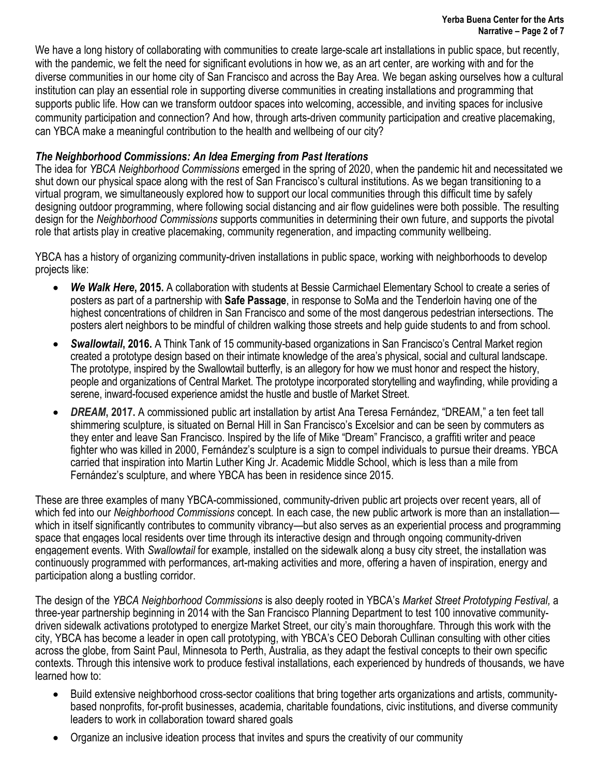We have a long history of collaborating with communities to create large-scale art installations in public space, but recently, with the pandemic, we felt the need for significant evolutions in how we, as an art center, are working with and for the diverse communities in our home city of San Francisco and across the Bay Area. We began asking ourselves how a cultural institution can play an essential role in supporting diverse communities in creating installations and programming that supports public life. How can we transform outdoor spaces into welcoming, accessible, and inviting spaces for inclusive community participation and connection? And how, through arts-driven community participation and creative placemaking, can YBCA make a meaningful contribution to the health and wellbeing of our city?

# *The Neighborhood Commissions: An Idea Emerging from Past Iterations*

The idea for *YBCA Neighborhood Commissions* emerged in the spring of 2020, when the pandemic hit and necessitated we shut down our physical space along with the rest of San Francisco's cultural institutions. As we began transitioning to a virtual program, we simultaneously explored how to support our local communities through this difficult time by safely designing outdoor programming, where following social distancing and air flow guidelines were both possible. The resulting design for the *Neighborhood Commissions* supports communities in determining their own future, and supports the pivotal role that artists play in creative placemaking, community regeneration, and impacting community wellbeing.

YBCA has a history of organizing community-driven installations in public space, working with neighborhoods to develop projects like:

- *We Walk Here***, 2015.** A collaboration with students at Bessie Carmichael Elementary School to create a series of posters as part of a partnership with **[Safe Passage](https://www.kqed.org/news/11671736/creating-a-safe-passage-for-kids-in-san-franciscos-gritty-tenderloin)**, in response to SoMa and the Tenderloin having one of the highest concentrations of children in San Francisco and some of the most dangerous pedestrian intersections. The posters alert neighbors to be mindful of children walking those streets and help guide students to and from school.
- *Swallowtail***, 2016.** A Think Tank of 15 community-based organizations in San Francisco's Central Market region created a prototype design based on their intimate knowledge of the area's physical, social and cultural landscape. The prototype, inspired by the Swallowtail butterfly, is an allegory for how we must honor and respect the history, people and organizations of Central Market. The prototype incorporated storytelling and wayfinding, while providing a serene, inward-focused experience amidst the hustle and bustle of Market Street.
- *DREAM***, 2017.** A commissioned public art installation by artist Ana Teresa Fernández, "DREAM," a ten feet tall shimmering sculpture, is situated on Bernal Hill in San Francisco's Excelsior and can be seen by commuters as they enter and leave San Francisco. Inspired by the life of Mike "Dream" Francisco, a graffiti writer and peace fighter who was killed in 2000, Fernández's sculpture is a sign to compel individuals to pursue their dreams. YBCA carried that inspiration into Martin Luther King Jr. Academic Middle School, which is less than a mile from Fernández's sculpture, and where YBCA has been in residence since 2015.

These are three examples of many YBCA-commissioned, community-driven public art projects over recent years, all of which fed into our *Neighborhood Commissions* concept. In each case, the new public artwork is more than an installation which in itself significantly contributes to community vibrancy—but also serves as an experiential process and programming space that engages local residents over time through its interactive design and through ongoing community-driven engagement events. With *Swallowtail* for example*,* installed on the sidewalk along a busy city street, the installation was continuously programmed with performances, art-making activities and more, offering a haven of inspiration, energy and participation along a bustling corridor.

The design of the *YBCA Neighborhood Commissions* is also deeply rooted in YBCA's *Market Street Prototyping Festival,* a three-year partnership beginning in 2014 with the San Francisco Planning Department to test 100 innovative communitydriven sidewalk activations prototyped to energize Market Street, our city's main thoroughfare*.* Through this work with the city, YBCA has become a leader in open call prototyping, with YBCA's CEO Deborah Cullinan consulting with other cities across the globe, from Saint Paul, Minnesota to Perth, Australia, as they adapt the festival concepts to their own specific contexts. Through this intensive work to produce festival installations, each experienced by hundreds of thousands, we have learned how to:

- Build extensive neighborhood cross-sector coalitions that bring together arts organizations and artists, communitybased nonprofits, for-profit businesses, academia, charitable foundations, civic institutions, and diverse community leaders to work in collaboration toward shared goals
- Organize an inclusive ideation process that invites and spurs the creativity of our community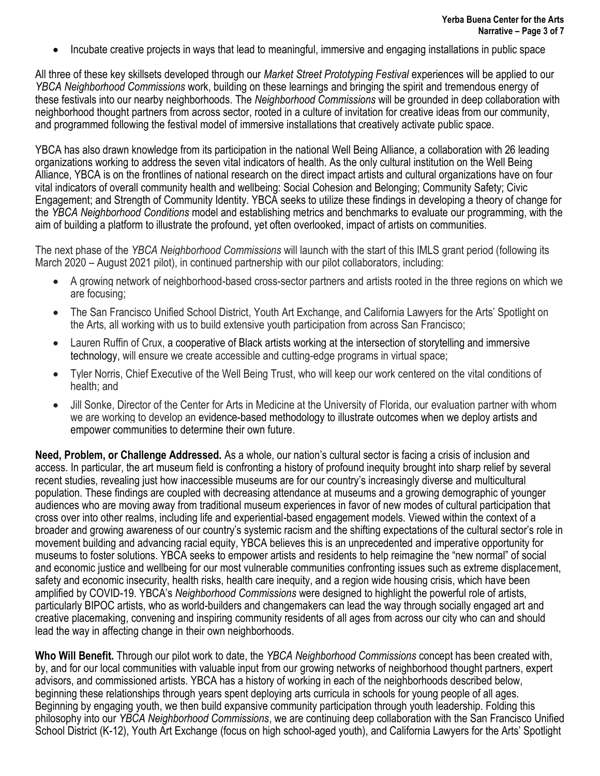Incubate creative projects in ways that lead to meaningful, immersive and engaging installations in public space

All three of these key skillsets developed through our *Market Street Prototyping Festival* experiences will be applied to our *YBCA Neighborhood Commissions* work, building on these learnings and bringing the spirit and tremendous energy of these festivals into our nearby neighborhoods. The *Neighborhood Commissions* will be grounded in deep collaboration with neighborhood thought partners from across sector, rooted in a culture of invitation for creative ideas from our community, and programmed following the festival model of immersive installations that creatively activate public space.

YBCA has also drawn knowledge from its participation in the national Well Being Alliance, a collaboration with 26 leading organizations working to address the seven vital indicators of health. As the only cultural institution on the Well Being Alliance, YBCA is on the frontlines of national research on the direct impact artists and cultural organizations have on four vital indicators of overall community health and wellbeing: Social Cohesion and Belonging; Community Safety; Civic Engagement; and Strength of Community Identity. YBCA seeks to utilize these findings in developing a theory of change for the *YBCA Neighborhood Conditions* model and establishing metrics and benchmarks to evaluate our programming, with the aim of building a platform to illustrate the profound, yet often overlooked, impact of artists on communities.

The next phase of the *YBCA Neighborhood Commissions* will launch with the start of this IMLS grant period (following its March 2020 – August 2021 pilot), in continued partnership with our pilot collaborators, including:

- A growing network of neighborhood-based cross-sector partners and artists rooted in the three regions on which we are focusing;
- The San Francisco Unified School District, Youth Art Exchange, and California Lawyers for the Arts' Spotlight on the Arts, all working with us to build extensive youth participation from across San Francisco;
- Lauren Ruffin of Crux, a cooperative of Black artists working at the intersection of storytelling and immersive technology, will ensure we create accessible and cutting-edge programs in virtual space;
- Tyler Norris, Chief Executive of the Well Being Trust, who will keep our work centered on the vital conditions of health; and
- Jill Sonke, Director of the Center for Arts in Medicine at the University of Florida, our evaluation partner with whom we are working to develop an evidence-based methodology to illustrate outcomes when we deploy artists and empower communities to determine their own future.

**Need, Problem, or Challenge Addressed.** As a whole, our nation's cultural sector is facing a crisis of inclusion and access. In particular, the art museum field is confronting a history of profound inequity brought into sharp relief by several recent studies, revealing just how inaccessible museums are for our country's increasingly diverse and multicultural population. These findings are coupled with decreasing attendance at museums and a growing demographic of younger audiences who are moving away from traditional museum experiences in favor of new modes of cultural participation that cross over into other realms, including life and experiential-based engagement models. Viewed within the context of a broader and growing awareness of our country's systemic racism and the shifting expectations of the cultural sector's role in movement building and advancing racial equity, YBCA believes this is an unprecedented and imperative opportunity for museums to foster solutions. YBCA seeks to empower artists and residents to help reimagine the "new normal" of social and economic justice and wellbeing for our most vulnerable communities confronting issues such as extreme displacement, safety and economic insecurity, health risks, health care inequity, and a region wide housing crisis, which have been amplified by COVID-19. YBCA's *Neighborhood Commissions* were designed to highlight the powerful role of artists, particularly BIPOC artists, who as world-builders and changemakers can lead the way through socially engaged art and creative placemaking, convening and inspiring community residents of all ages from across our city who can and should lead the way in affecting change in their own neighborhoods.

**Who Will Benefit.** Through our pilot work to date, the *YBCA Neighborhood Commissions* concept has been created with, by, and for our local communities with valuable input from our growing networks of neighborhood thought partners, expert advisors, and commissioned artists. YBCA has a history of working in each of the neighborhoods described below, beginning these relationships through years spent deploying arts curricula in schools for young people of all ages. Beginning by engaging youth, we then build expansive community participation through youth leadership. Folding this philosophy into our *YBCA Neighborhood Commissions*, we are continuing deep collaboration with the San Francisco Unified School District (K-12), Youth Art Exchange (focus on high school-aged youth), and California Lawyers for the Arts' Spotlight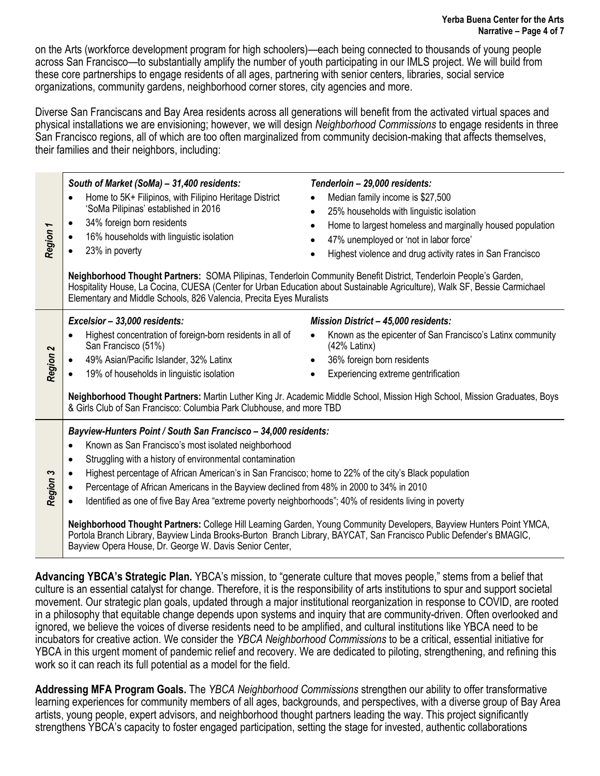on the Arts (workforce development program for high schoolers)—each being connected to thousands of young people across San Francisco—to substantially amplify the number of youth participating in our IMLS project. We will build from these core partnerships to engage residents of all ages, partnering with senior centers, libraries, social service organizations, community gardens, neighborhood corner stores, city agencies and more.

Diverse San Franciscans and Bay Area residents across all generations will benefit from the activated virtual spaces and physical installations we are envisioning; however, we will design *Neighborhood Commissions* to engage residents in three San Francisco regions, all of which are too often marginalized from community decision-making that affects themselves, their families and their neighbors, including:

| Region 1 | South of Market (SoMa) - 31,400 residents:<br>Home to 5K+ Filipinos, with Filipino Heritage District<br>'SoMa Pilipinas' established in 2016<br>34% foreign born residents<br>16% households with linguistic isolation<br>23% in poverty<br>Neighborhood Thought Partners: SOMA Pilipinas, Tenderloin Community Benefit District, Tenderloin People's Garden,<br>Elementary and Middle Schools, 826 Valencia, Precita Eyes Muralists                                                                                                                                                                                                                                                                                                                                                                                                 | Tenderloin - 29,000 residents:<br>Median family income is \$27,500<br>25% households with linguistic isolation<br>Home to largest homeless and marginally housed population<br>$\bullet$<br>47% unemployed or 'not in labor force'<br>Highest violence and drug activity rates in San Francisco<br>Hospitality House, La Cocina, CUESA (Center for Urban Education about Sustainable Agriculture), Walk SF, Bessie Carmichael                                                                                                                                                                                                                                                                                                                                                                                                                                                                         |  |  |  |  |  |  |  |  |  |
|----------|--------------------------------------------------------------------------------------------------------------------------------------------------------------------------------------------------------------------------------------------------------------------------------------------------------------------------------------------------------------------------------------------------------------------------------------------------------------------------------------------------------------------------------------------------------------------------------------------------------------------------------------------------------------------------------------------------------------------------------------------------------------------------------------------------------------------------------------|-------------------------------------------------------------------------------------------------------------------------------------------------------------------------------------------------------------------------------------------------------------------------------------------------------------------------------------------------------------------------------------------------------------------------------------------------------------------------------------------------------------------------------------------------------------------------------------------------------------------------------------------------------------------------------------------------------------------------------------------------------------------------------------------------------------------------------------------------------------------------------------------------------|--|--|--|--|--|--|--|--|--|
| Region 2 | Excelsior - 33,000 residents:<br>Highest concentration of foreign-born residents in all of<br>San Francisco (51%)<br>49% Asian/Pacific Islander, 32% Latinx<br>19% of households in linguistic isolation<br>& Girls Club of San Francisco: Columbia Park Clubhouse, and more TBD                                                                                                                                                                                                                                                                                                                                                                                                                                                                                                                                                     | <b>Mission District - 45,000 residents:</b><br>Known as the epicenter of San Francisco's Latinx community<br>$(42%$ Latinx)<br>36% foreign born residents<br>Experiencing extreme gentrification<br>Neighborhood Thought Partners: Martin Luther King Jr. Academic Middle School, Mission High School, Mission Graduates, Boys                                                                                                                                                                                                                                                                                                                                                                                                                                                                                                                                                                        |  |  |  |  |  |  |  |  |  |
| Region 3 | Bayview-Hunters Point / South San Francisco - 34,000 residents:<br>Known as San Francisco's most isolated neighborhood<br>$\bullet$<br>Struggling with a history of environmental contamination<br>$\bullet$<br>Highest percentage of African American's in San Francisco; home to 22% of the city's Black population<br>Percentage of African Americans in the Bayview declined from 48% in 2000 to 34% in 2010<br>Identified as one of five Bay Area "extreme poverty neighborhoods"; 40% of residents living in poverty<br>Neighborhood Thought Partners: College Hill Learning Garden, Young Community Developers, Bayview Hunters Point YMCA,<br>Portola Branch Library, Bayview Linda Brooks-Burton Branch Library, BAYCAT, San Francisco Public Defender's BMAGIC,<br>Bayview Opera House, Dr. George W. Davis Senior Center, |                                                                                                                                                                                                                                                                                                                                                                                                                                                                                                                                                                                                                                                                                                                                                                                                                                                                                                       |  |  |  |  |  |  |  |  |  |
|          | work so it can reach its full potential as a model for the field.                                                                                                                                                                                                                                                                                                                                                                                                                                                                                                                                                                                                                                                                                                                                                                    | Advancing YBCA's Strategic Plan. YBCA's mission, to "generate culture that moves people," stems from a belief that<br>culture is an essential catalyst for change. Therefore, it is the responsibility of arts institutions to spur and support societal<br>movement. Our strategic plan goals, updated through a major institutional reorganization in response to COVID, are rooted<br>in a philosophy that equitable change depends upon systems and inquiry that are community-driven. Often overlooked and<br>ignored, we believe the voices of diverse residents need to be amplified, and cultural institutions like YBCA need to be<br>incubators for creative action. We consider the YBCA Neighborhood Commissions to be a critical, essential initiative for<br>YBCA in this urgent moment of pandemic relief and recovery. We are dedicated to piloting, strengthening, and refining this |  |  |  |  |  |  |  |  |  |
|          | artists, young people, expert advisors, and neighborhood thought partners leading the way. This project significantly<br>strengthens YBCA's capacity to foster engaged participation, setting the stage for invested, authentic collaborations                                                                                                                                                                                                                                                                                                                                                                                                                                                                                                                                                                                       | Addressing MFA Program Goals. The YBCA Neighborhood Commissions strengthen our ability to offer transformative<br>learning experiences for community members of all ages, backgrounds, and perspectives, with a diverse group of Bay Area                                                                                                                                                                                                                                                                                                                                                                                                                                                                                                                                                                                                                                                             |  |  |  |  |  |  |  |  |  |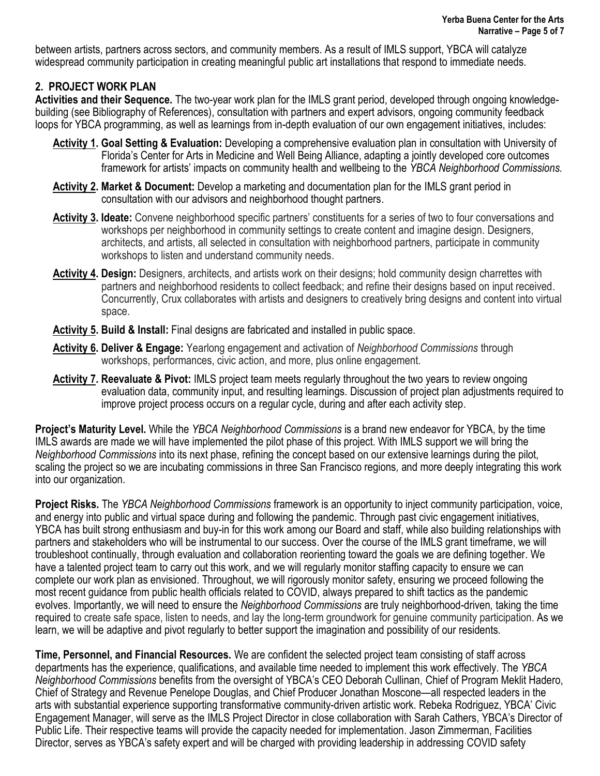between artists, partners across sectors, and community members. As a result of IMLS support, YBCA will catalyze widespread community participation in creating meaningful public art installations that respond to immediate needs.

# **2. PROJECT WORK PLAN**

**Activities and their Sequence.** The two-year work plan for the IMLS grant period, developed through ongoing knowledgebuilding (see Bibliography of References), consultation with partners and expert advisors, ongoing community feedback loops for YBCA programming, as well as learnings from in-depth evaluation of our own engagement initiatives, includes:

- **Activity 1. Goal Setting & Evaluation:** Developing a comprehensive evaluation plan in consultation with University of Florida's Center for Arts in Medicine and Well Being Alliance, adapting a jointly developed core outcomes framework for artists' impacts on community health and wellbeing to the *YBCA Neighborhood Commissions.*
- **Activity 2. Market & Document:** Develop a marketing and documentation plan for the IMLS grant period in consultation with our advisors and neighborhood thought partners.
- **Activity 3. Ideate:** Convene neighborhood specific partners' constituents for a series of two to four conversations and workshops per neighborhood in community settings to create content and imagine design. Designers, architects, and artists, all selected in consultation with neighborhood partners, participate in community workshops to listen and understand community needs.
- **Activity 4. Design:** Designers, architects, and artists work on their designs; hold community design charrettes with partners and neighborhood residents to collect feedback; and refine their designs based on input received. Concurrently, Crux collaborates with artists and designers to creatively bring designs and content into virtual space.
- **Activity 5. Build & Install:** Final designs are fabricated and installed in public space.
- **Activity 6. Deliver & Engage:** Yearlong engagement and activation of *Neighborhood Commissions* through workshops, performances, civic action, and more, plus online engagement.
- **Activity 7. Reevaluate & Pivot:** IMLS project team meets regularly throughout the two years to review ongoing evaluation data, community input, and resulting learnings. Discussion of project plan adjustments required to improve project process occurs on a regular cycle, during and after each activity step.

**Project's Maturity Level.** While the *YBCA Neighborhood Commissions* is a brand new endeavor for YBCA, by the time IMLS awards are made we will have implemented the pilot phase of this project. With IMLS support we will bring the *Neighborhood Commissions* into its next phase, refining the concept based on our extensive learnings during the pilot, scaling the project so we are incubating commissions in three San Francisco regions*,* and more deeply integrating this work into our organization.

**Project Risks.** The *YBCA Neighborhood Commissions* framework is an opportunity to inject community participation, voice, and energy into public and virtual space during and following the pandemic. Through past civic engagement initiatives, YBCA has built strong enthusiasm and buy-in for this work among our Board and staff, while also building relationships with partners and stakeholders who will be instrumental to our success. Over the course of the IMLS grant timeframe, we will troubleshoot continually, through evaluation and collaboration reorienting toward the goals we are defining together. We have a talented project team to carry out this work, and we will regularly monitor staffing capacity to ensure we can complete our work plan as envisioned. Throughout, we will rigorously monitor safety, ensuring we proceed following the most recent guidance from public health officials related to COVID, always prepared to shift tactics as the pandemic evolves. Importantly, we will need to ensure the *Neighborhood Commissions* are truly neighborhood-driven*,* taking the time required to create safe space, listen to needs, and lay the long-term groundwork for genuine community participation. As we learn, we will be adaptive and pivot regularly to better support the imagination and possibility of our residents.

**Time, Personnel, and Financial Resources.** We are confident the selected project team consisting of staff across departments has the experience, qualifications, and available time needed to implement this work effectively. The *YBCA Neighborhood Commissions* benefits from the oversight of YBCA's CEO Deborah Cullinan, Chief of Program Meklit Hadero, Chief of Strategy and Revenue Penelope Douglas, and Chief Producer Jonathan Moscone—all respected leaders in the arts with substantial experience supporting transformative community-driven artistic work. Rebeka Rodriguez, YBCA' Civic Engagement Manager, will serve as the IMLS Project Director in close collaboration with Sarah Cathers, YBCA's Director of Public Life. Their respective teams will provide the capacity needed for implementation. Jason Zimmerman, Facilities Director, serves as YBCA's safety expert and will be charged with providing leadership in addressing COVID safety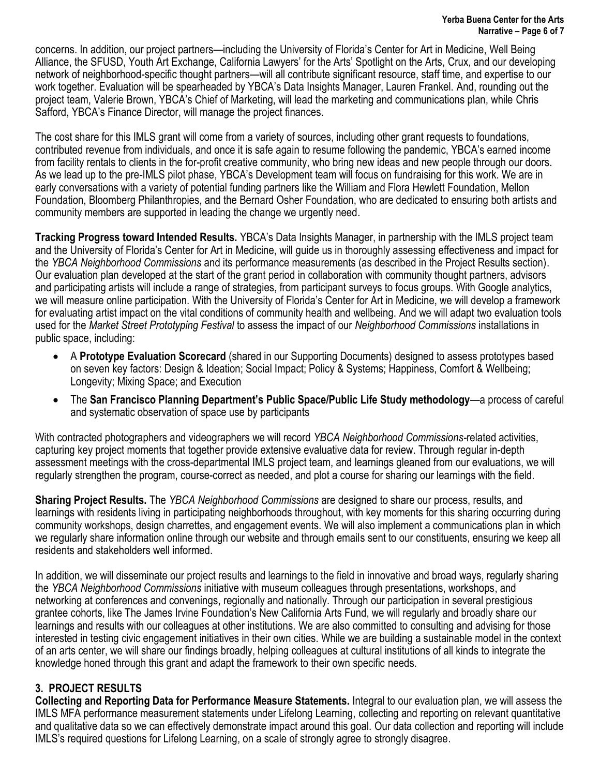concerns. In addition, our project partners—including the University of Florida's Center for Art in Medicine, Well Being Alliance, the SFUSD, Youth Art Exchange, California Lawyers' for the Arts' Spotlight on the Arts, Crux, and our developing network of neighborhood-specific thought partners—will all contribute significant resource, staff time, and expertise to our work together. Evaluation will be spearheaded by YBCA's Data Insights Manager, Lauren Frankel. And, rounding out the project team, Valerie Brown, YBCA's Chief of Marketing, will lead the marketing and communications plan, while Chris Safford, YBCA's Finance Director, will manage the project finances.

The cost share for this IMLS grant will come from a variety of sources, including other grant requests to foundations, contributed revenue from individuals, and once it is safe again to resume following the pandemic, YBCA's earned income from facility rentals to clients in the for-profit creative community, who bring new ideas and new people through our doors. As we lead up to the pre-IMLS pilot phase, YBCA's Development team will focus on fundraising for this work. We are in early conversations with a variety of potential funding partners like the William and Flora Hewlett Foundation, Mellon Foundation, Bloomberg Philanthropies, and the Bernard Osher Foundation, who are dedicated to ensuring both artists and community members are supported in leading the change we urgently need.

**Tracking Progress toward Intended Results.** YBCA's Data Insights Manager, in partnership with the IMLS project team and the University of Florida's Center for Art in Medicine, will guide us in thoroughly assessing effectiveness and impact for the *YBCA Neighborhood Commissions* and its performance measurements (as described in the Project Results section). Our evaluation plan developed at the start of the grant period in collaboration with community thought partners, advisors and participating artists will include a range of strategies, from participant surveys to focus groups. With Google analytics, we will measure online participation. With the University of Florida's Center for Art in Medicine, we will develop a framework for evaluating artist impact on the vital conditions of community health and wellbeing. And we will adapt two evaluation tools used for the *Market Street Prototyping Festival* to assess the impact of our *Neighborhood Commissions* installations in public space, including:

- A **Prototype Evaluation Scorecard** (shared in our Supporting Documents) designed to assess prototypes based on seven key factors: Design & Ideation; Social Impact; Policy & Systems; Happiness, Comfort & Wellbeing; Longevity; Mixing Space; and Execution
- The **San Francisco Planning Department's Public Space/Public Life Study methodology**—a process of careful and systematic observation of space use by participants

With contracted photographers and videographers we will record *YBCA Neighborhood Commissions-*related activities, capturing key project moments that together provide extensive evaluative data for review. Through regular in-depth assessment meetings with the cross-departmental IMLS project team, and learnings gleaned from our evaluations, we will regularly strengthen the program, course-correct as needed, and plot a course for sharing our learnings with the field.

**Sharing Project Results.** The *YBCA Neighborhood Commissions* are designed to share our process, results, and learnings with residents living in participating neighborhoods throughout, with key moments for this sharing occurring during community workshops, design charrettes, and engagement events*.* We will also implement a communications plan in which we regularly share information online through our website and through emails sent to our constituents, ensuring we keep all residents and stakeholders well informed.

In addition, we will disseminate our project results and learnings to the field in innovative and broad ways, regularly sharing the *YBCA Neighborhood Commissions* initiative with museum colleagues through presentations, workshops, and networking at conferences and convenings, regionally and nationally. Through our participation in several prestigious grantee cohorts, like The James Irvine Foundation's New California Arts Fund, we will regularly and broadly share our learnings and results with our colleagues at other institutions. We are also committed to consulting and advising for those interested in testing civic engagement initiatives in their own cities. While we are building a sustainable model in the context of an arts center, we will share our findings broadly, helping colleagues at cultural institutions of all kinds to integrate the knowledge honed through this grant and adapt the framework to their own specific needs.

# **3. PROJECT RESULTS**

**Collecting and Reporting Data for Performance Measure Statements.** Integral to our evaluation plan, we will assess the IMLS MFA performance measurement statements under Lifelong Learning, collecting and reporting on relevant quantitative and qualitative data so we can effectively demonstrate impact around this goal. Our data collection and reporting will include IMLS's required questions for Lifelong Learning, on a scale of strongly agree to strongly disagree.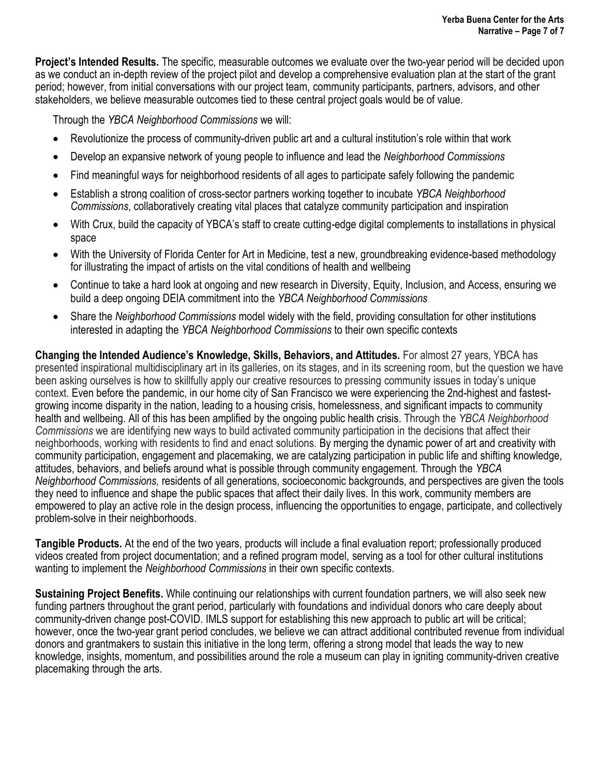**Project's Intended Results.** The specific, measurable outcomes we evaluate over the two-year period will be decided upon as we conduct an in-depth review of the project pilot and develop a comprehensive evaluation plan at the start of the grant period; however, from initial conversations with our project team, community participants, partners, advisors, and other stakeholders, we believe measurable outcomes tied to these central project goals would be of value.

Through the *YBCA Neighborhood Commissions* we will:

- Revolutionize the process of community-driven public art and a cultural institution's role within that work
- Develop an expansive network of young people to influence and lead the *Neighborhood Commissions*
- Find meaningful ways for neighborhood residents of all ages to participate safely following the pandemic
- Establish a strong coalition of cross-sector partners working together to incubate *YBCA Neighborhood Commissions*, collaboratively creating vital places that catalyze community participation and inspiration
- With Crux, build the capacity of YBCA's staff to create cutting-edge digital complements to installations in physical space
- With the University of Florida Center for Art in Medicine, test a new, groundbreaking evidence-based methodology for illustrating the impact of artists on the vital conditions of health and wellbeing
- Continue to take a hard look at ongoing and new research in Diversity, Equity, Inclusion, and Access, ensuring we build a deep ongoing DEIA commitment into the *YBCA Neighborhood Commissions*
- Share the *Neighborhood Commissions* model widely with the field, providing consultation for other institutions interested in adapting the *YBCA Neighborhood Commissions* to their own specific contexts

**Changing the Intended Audience's Knowledge, Skills, Behaviors, and Attitudes.** For almost 27 years, YBCA has presented inspirational multidisciplinary art in its galleries, on its stages, and in its screening room, but the question we have been asking ourselves is how to skillfully apply our creative resources to pressing community issues in today's unique context. Even before the pandemic, in our home city of San Francisco we were experiencing the 2nd-highest and fastestgrowing income disparity in the nation, leading to a housing crisis, homelessness, and significant impacts to community health and wellbeing. All of this has been amplified by the ongoing public health crisis. Through the *YBCA Neighborhood Commissions* we are identifying new ways to build activated community participation in the decisions that affect their neighborhoods, working with residents to find and enact solutions. By merging the dynamic power of art and creativity with community participation, engagement and placemaking, we are catalyzing participation in public life and shifting knowledge, attitudes, behaviors, and beliefs around what is possible through community engagement. Through the *YBCA Neighborhood Commissions,* residents of all generations, socioeconomic backgrounds, and perspectives are given the tools they need to influence and shape the public spaces that affect their daily lives. In this work, community members are empowered to play an active role in the design process, influencing the opportunities to engage, participate, and collectively problem-solve in their neighborhoods.

**Tangible Products.** At the end of the two years, products will include a final evaluation report; professionally produced videos created from project documentation; and a refined program model, serving as a tool for other cultural institutions wanting to implement the *Neighborhood Commissions* in their own specific contexts.

**Sustaining Project Benefits.** While continuing our relationships with current foundation partners, we will also seek new funding partners throughout the grant period, particularly with foundations and individual donors who care deeply about community-driven change post-COVID. IMLS support for establishing this new approach to public art will be critical; however, once the two-year grant period concludes, we believe we can attract additional contributed revenue from individual donors and grantmakers to sustain this initiative in the long term, offering a strong model that leads the way to new knowledge, insights, momentum, and possibilities around the role a museum can play in igniting community-driven creative placemaking through the arts.